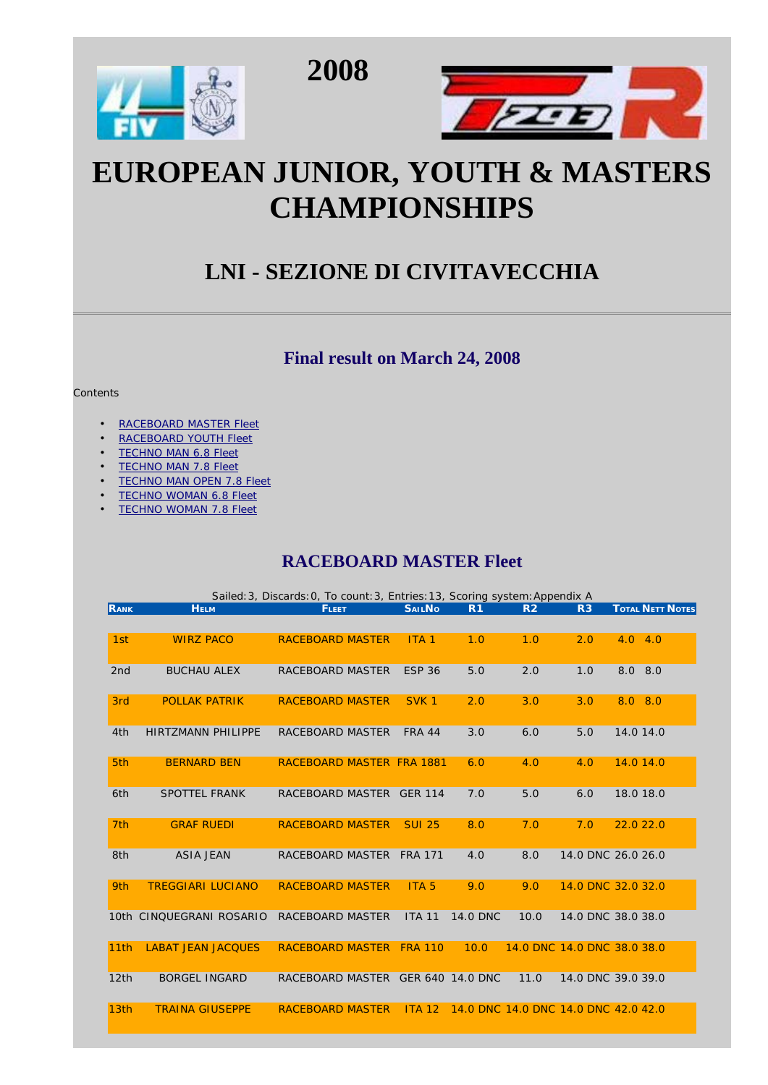





# **EUROPEAN JUNIOR, YOUTH & MASTERS CHAMPIONSHIPS**

## **LNI - SEZIONE DI CIVITAVECCHIA**

#### **Final result on March 24, 2008**

#### **Contents**

- RACEBOARD MASTER Fleet
- RACEBOARD YOUTH Fleet
- **TECHNO MAN 6.8 Fleet**
- **TECHNO MAN 7.8 Fleet**
- TECHNO MAN OPEN 7.8 Fleet
- TECHNO WOMAN 6.8 Fleet
- TECHNO WOMAN 7.8 Fleet

#### **RACEBOARD MASTER Fleet**

|                  | Sailed: 3, Discards: 0, To count: 3, Entries: 13, Scoring system: Appendix A |                                   |                  |                                      |                |                |                             |  |  |  |  |
|------------------|------------------------------------------------------------------------------|-----------------------------------|------------------|--------------------------------------|----------------|----------------|-----------------------------|--|--|--|--|
| <b>RANK</b>      | <b>HELM</b>                                                                  | <b>FLEET</b>                      | <b>SAILNO</b>    | R <sub>1</sub>                       | R <sub>2</sub> | R <sub>3</sub> | <b>TOTAL NETT NOTES</b>     |  |  |  |  |
|                  |                                                                              |                                   |                  |                                      |                |                |                             |  |  |  |  |
| 1st              | <b>WIRZ PACO</b>                                                             | <b>RACEBOARD MASTER</b>           | ITA <sub>1</sub> | 1.0                                  | 1.0            | 2.0            | 4.0<br>4.0                  |  |  |  |  |
|                  |                                                                              |                                   |                  |                                      |                |                |                             |  |  |  |  |
| 2 <sub>nd</sub>  | <b>BUCHAU ALEX</b>                                                           | RACEBOARD MASTER                  | <b>ESP 36</b>    | 5.0                                  | 2.0            | 1.0            | 8.0 8.0                     |  |  |  |  |
|                  |                                                                              |                                   |                  |                                      |                |                |                             |  |  |  |  |
| 3rd              | <b>POLLAK PATRIK</b>                                                         | <b>RACEBOARD MASTER</b>           | SVK <sub>1</sub> | 2.0                                  | 3.0            | 3.0            | 8.0 8.0                     |  |  |  |  |
|                  |                                                                              |                                   |                  |                                      |                |                |                             |  |  |  |  |
| 4th              | <b>HIRTZMANN PHILIPPE</b>                                                    | RACEBOARD MASTER                  | <b>FRA 44</b>    | 3.0                                  | 6.0            | 5.0            | 14.0 14.0                   |  |  |  |  |
|                  |                                                                              |                                   |                  |                                      |                |                |                             |  |  |  |  |
| 5th              | <b>BERNARD BEN</b>                                                           | RACEBOARD MASTER FRA 1881         |                  | 6.0                                  | 4.0            | 4.0            | 14.0 14.0                   |  |  |  |  |
|                  |                                                                              |                                   |                  |                                      |                |                |                             |  |  |  |  |
| 6th              | <b>SPOTTEL FRANK</b>                                                         | RACEBOARD MASTER GER 114          |                  | 7.0                                  | 5.0            | 6.0            | 18.0 18.0                   |  |  |  |  |
|                  |                                                                              |                                   |                  |                                      |                |                |                             |  |  |  |  |
| 7 <sub>th</sub>  | <b>GRAF RUEDI</b>                                                            | RACEBOARD MASTER                  | <b>SUI 25</b>    | 8.0                                  | 7.0            | 7.0            | 22.022.0                    |  |  |  |  |
|                  |                                                                              |                                   |                  |                                      |                |                |                             |  |  |  |  |
| 8th              | <b>ASIA JEAN</b>                                                             | RACEBOARD MASTER                  | <b>FRA 171</b>   | 4.0                                  | 8.0            |                | 14.0 DNC 26.0 26.0          |  |  |  |  |
|                  |                                                                              |                                   |                  |                                      |                |                |                             |  |  |  |  |
| 9th              | <b>TREGGIARI LUCIANO</b>                                                     | <b>RACEBOARD MASTER</b>           | ITA <sub>5</sub> | 9.0                                  | 9.0            |                | 14.0 DNC 32.0 32.0          |  |  |  |  |
|                  |                                                                              |                                   |                  |                                      |                |                |                             |  |  |  |  |
|                  | 10th CINOUEGRANI ROSARIO                                                     | RACEBOARD MASTER                  | <b>ITA 11</b>    | <b>14.0 DNC</b>                      | 10.0           |                | 14.0 DNC 38.0 38.0          |  |  |  |  |
|                  |                                                                              |                                   |                  |                                      |                |                |                             |  |  |  |  |
| 11th             | <b>LABAT JEAN JACOUES</b>                                                    | <b>RACEBOARD MASTER</b>           | <b>FRA 110</b>   | 10.0                                 |                |                | 14.0 DNC 14.0 DNC 38.0 38.0 |  |  |  |  |
|                  |                                                                              |                                   |                  |                                      |                |                |                             |  |  |  |  |
| 12th             | <b>BORGEL INGARD</b>                                                         | RACEBOARD MASTER GER 640 14.0 DNC |                  |                                      | 11.0           |                | 14.0 DNC 39.0 39.0          |  |  |  |  |
|                  |                                                                              |                                   |                  |                                      |                |                |                             |  |  |  |  |
| 13 <sub>th</sub> | <b>TRAINA GIUSEPPE</b>                                                       | <b>RACEBOARD MASTER</b>           | ITA 12           | 14.0 DNC 14.0 DNC 14.0 DNC 42.0 42.0 |                |                |                             |  |  |  |  |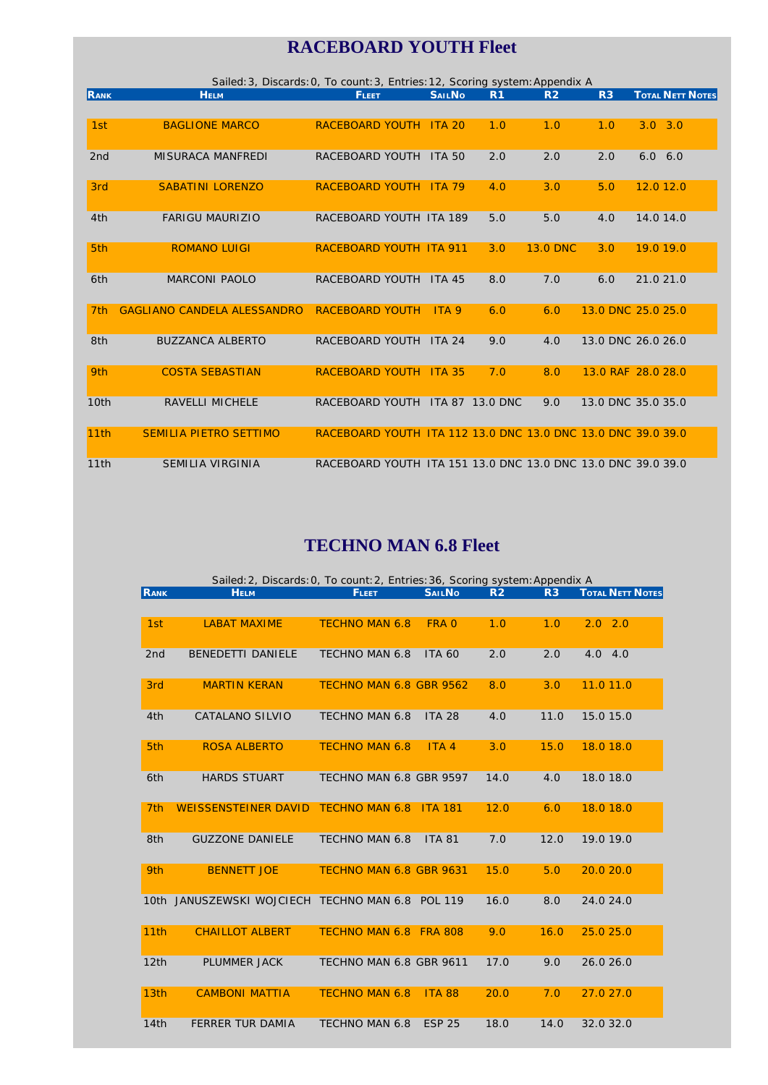## **RACEBOARD YOUTH Fleet**

|                 | Sailed: 3, Discards: 0, To count: 3, Entries: 12, Scoring system: Appendix A |                                                              |                  |                 |                 |                    |                         |  |  |  |  |
|-----------------|------------------------------------------------------------------------------|--------------------------------------------------------------|------------------|-----------------|-----------------|--------------------|-------------------------|--|--|--|--|
| <b>RANK</b>     | <b>HELM</b>                                                                  | <b>FLEET</b>                                                 | <b>SAILNO</b>    | R <sub>1</sub>  | R <sub>2</sub>  | R <sub>3</sub>     | <b>TOTAL NETT NOTES</b> |  |  |  |  |
|                 |                                                                              |                                                              |                  |                 |                 |                    |                         |  |  |  |  |
| 1st             | <b>BAGLIONE MARCO</b>                                                        | RACEBOARD YOUTH ITA 20                                       |                  | 1.0             | 1.0             | 1.0                | $3.0 \quad 3.0$         |  |  |  |  |
|                 |                                                                              |                                                              |                  |                 |                 |                    |                         |  |  |  |  |
| 2 <sub>nd</sub> | <b>MISURACA MANFREDI</b>                                                     | RACEBOARD YOUTH                                              | <b>ITA 50</b>    | 2.0             | 2.0             | 2.0                | $6.0\quad 6.0$          |  |  |  |  |
|                 |                                                                              |                                                              |                  |                 |                 |                    |                         |  |  |  |  |
| 3rd             | <b>SABATINI LORENZO</b>                                                      | RACEBOARD YOUTH ITA 79                                       |                  | 4.0             | 3.0             | 5.0                | 12.0 12.0               |  |  |  |  |
|                 |                                                                              |                                                              |                  |                 |                 |                    |                         |  |  |  |  |
| 4th             | <b>FARIGU MAURIZIO</b>                                                       | RACEBOARD YOUTH ITA 189                                      |                  | 5.0             | 5.0             | 4.0                | 14.0 14.0               |  |  |  |  |
|                 |                                                                              |                                                              |                  |                 |                 |                    |                         |  |  |  |  |
| 5 <sub>th</sub> | <b>ROMANO LUIGI</b>                                                          | <b>RACEBOARD YOUTH ITA 911</b>                               |                  | 3.0             | <b>13.0 DNC</b> | 3.0                | 19.0 19.0               |  |  |  |  |
|                 |                                                                              |                                                              |                  |                 |                 |                    |                         |  |  |  |  |
| 6th             | <b>MARCONI PAOLO</b>                                                         | RACEBOARD YOUTH                                              | <b>ITA 45</b>    | 8.0             | 7.0             | 6.0                | 21.0 21.0               |  |  |  |  |
|                 |                                                                              |                                                              |                  |                 |                 |                    |                         |  |  |  |  |
| 7 <sub>th</sub> | <b>GAGLIANO CANDELA ALESSANDRO</b>                                           | <b>RACEBOARD YOUTH</b>                                       | ITA <sub>9</sub> | 6.0             | 6.0             |                    | 13.0 DNC 25.0 25.0      |  |  |  |  |
|                 |                                                                              |                                                              |                  |                 |                 |                    |                         |  |  |  |  |
| 8th             | <b>BUZZANCA ALBERTO</b>                                                      | RACEBOARD YOUTH                                              | <b>ITA 24</b>    | 9.0             | 4.0             |                    | 13.0 DNC 26.0 26.0      |  |  |  |  |
|                 |                                                                              |                                                              |                  |                 |                 |                    |                         |  |  |  |  |
| 9th             | <b>COSTA SEBASTIAN</b>                                                       | RACEBOARD YOUTH ITA 35                                       |                  | 7.0             | 8.0             |                    | 13.0 RAF 28.0 28.0      |  |  |  |  |
|                 |                                                                              |                                                              |                  |                 |                 |                    |                         |  |  |  |  |
| 10th            | <b>RAVELLI MICHELE</b>                                                       | RACEBOARD YOUTH                                              |                  | ITA 87 13.0 DNC | 9.0             | 13.0 DNC 35.0 35.0 |                         |  |  |  |  |
|                 |                                                                              |                                                              |                  |                 |                 |                    |                         |  |  |  |  |
| 11th            | <b>SEMILIA PIETRO SETTIMO</b>                                                | RACEBOARD YOUTH ITA 112 13.0 DNC 13.0 DNC 13.0 DNC 39.0 39.0 |                  |                 |                 |                    |                         |  |  |  |  |
|                 |                                                                              |                                                              |                  |                 |                 |                    |                         |  |  |  |  |
| 11th            | <b>SEMILIA VIRGINIA</b>                                                      | RACEBOARD YOUTH ITA 151 13.0 DNC 13.0 DNC 13.0 DNC 39.0 39.0 |                  |                 |                 |                    |                         |  |  |  |  |

#### **TECHNO MAN 6.8 Fleet**

|                  | Sailed: 2, Discards: 0, To count: 2, Entries: 36, Scoring system: Appendix A |                         |                  |                |      |                         |  |  |  |  |  |  |
|------------------|------------------------------------------------------------------------------|-------------------------|------------------|----------------|------|-------------------------|--|--|--|--|--|--|
| RANK             | <b>HELM</b>                                                                  | <b>FLEET</b>            | <b>SAILNO</b>    | R <sub>2</sub> | R3   | <b>TOTAL NETT NOTES</b> |  |  |  |  |  |  |
|                  |                                                                              |                         |                  |                |      |                         |  |  |  |  |  |  |
| 1st              | <b>LABAT MAXIME</b>                                                          | <b>TECHNO MAN 6.8</b>   | FRA 0            | 1.0            | 1.0  | $2.0$ $2.0$             |  |  |  |  |  |  |
| 2 <sub>nd</sub>  | <b>BENEDETTI DANIELE</b>                                                     | <b>TECHNO MAN 6.8</b>   | <b>ITA 60</b>    | 2.0            | 2.0  | 4.0 4.0                 |  |  |  |  |  |  |
| 3rd              | <b>MARTIN KERAN</b>                                                          | TECHNO MAN 6.8 GBR 9562 |                  | 8.0            | 3.0  | 11.011.0                |  |  |  |  |  |  |
| 4th              | CATALANO SILVIO                                                              | TECHNO MAN 6.8          | <b>ITA 28</b>    | 4.0            | 11.0 | 15.0 15.0               |  |  |  |  |  |  |
| 5 <sub>th</sub>  | <b>ROSA ALBERTO</b>                                                          | <b>TECHNO MAN 6.8</b>   | ITA <sub>4</sub> | 3.0            | 15.0 | 18.0 18.0               |  |  |  |  |  |  |
| 6th              | <b>HARDS STUART</b>                                                          | TECHNO MAN 6.8 GBR 9597 |                  | 14.0           | 4.0  | 18.0 18.0               |  |  |  |  |  |  |
| 7 <sub>th</sub>  | <b>WEISSENSTEINER DAVID</b>                                                  | <b>TECHNO MAN 6.8</b>   | <b>ITA 181</b>   | 12.0           | 6.0  | 18.0 18.0               |  |  |  |  |  |  |
| 8th              | <b>GUZZONE DANIELE</b>                                                       | <b>TECHNO MAN 6.8</b>   | <b>ITA 81</b>    | 7.0            | 12.0 | 19.0 19.0               |  |  |  |  |  |  |
| 9th              | <b>BENNETT JOE</b>                                                           | TECHNO MAN 6.8 GBR 9631 |                  | 15.0           | 5.0  | 20.020.0                |  |  |  |  |  |  |
|                  | 10th JANUSZEWSKI WOJCIECH TECHNO MAN 6.8 POL 119                             |                         |                  | 16.0           | 8.0  | 24.0 24.0               |  |  |  |  |  |  |
| 11th             | <b>CHAILLOT ALBERT</b>                                                       | TECHNO MAN 6.8 FRA 808  |                  | 9.0            | 16.0 | 25.0 25.0               |  |  |  |  |  |  |
| 12th             | <b>PLUMMER JACK</b>                                                          | TECHNO MAN 6.8 GBR 9611 |                  | 17.0           | 9.0  | 26.0 26.0               |  |  |  |  |  |  |
| 13 <sub>th</sub> | <b>CAMBONI MATTIA</b>                                                        | <b>TECHNO MAN 6.8</b>   | <b>ITA 88</b>    | 20.0           | 7.0  | 27.0 27.0               |  |  |  |  |  |  |
| 14th             | <b>FERRER TUR DAMIA</b>                                                      | TECHNO MAN 6.8          | <b>ESP 25</b>    | 18.0           | 14.0 | 32.0 32.0               |  |  |  |  |  |  |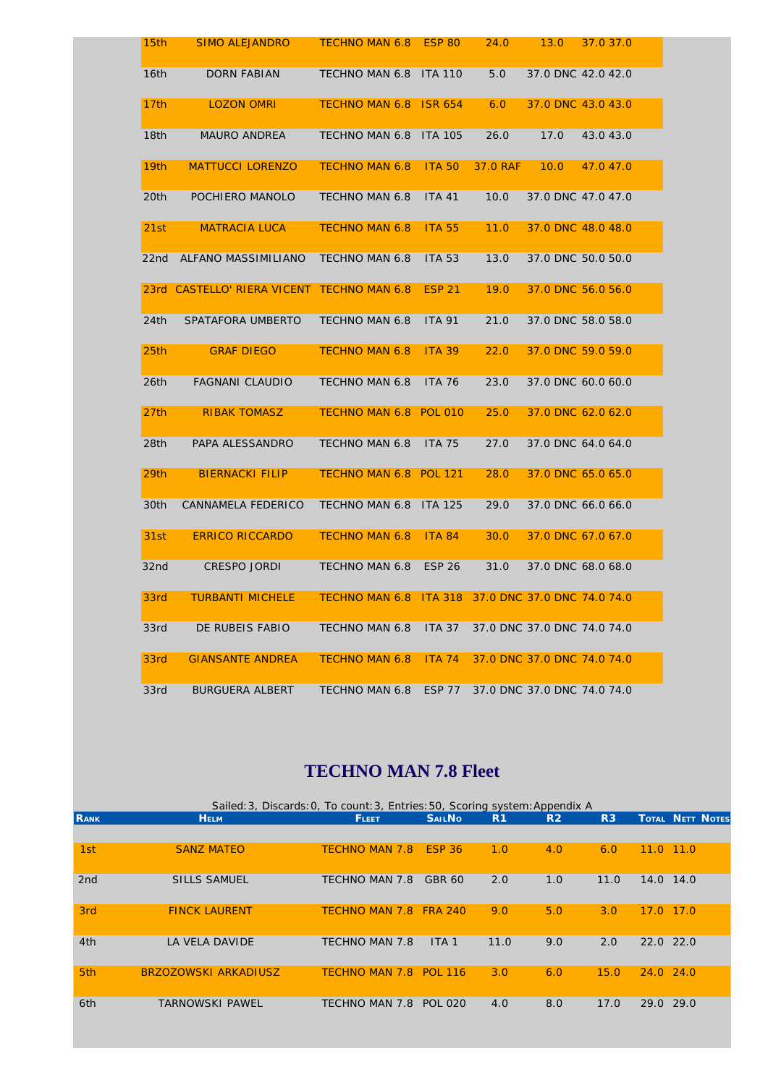| 15th             | <b>SIMO ALEJANDRO</b>                      | TECHNO MAN 6.8 ESP 80                              |               | 24.0     | 13.0 | 37.0 37.0                   |
|------------------|--------------------------------------------|----------------------------------------------------|---------------|----------|------|-----------------------------|
| 16th             | DORN FABIAN                                | TECHNO MAN 6.8 ITA 110                             |               | 5.0      |      | 37.0 DNC 42.0 42.0          |
| 17th             | <b>LOZON OMRI</b>                          | TECHNO MAN 6.8 ISR 654                             |               | 6.0      |      | 37.0 DNC 43.0 43.0          |
| 18 <sub>th</sub> | <b>MAURO ANDREA</b>                        | TECHNO MAN 6.8 ITA 105                             |               | 26.0     | 17.0 | 43.043.0                    |
| 19 <sub>th</sub> | <b>MATTUCCI LORENZO</b>                    | <b>TECHNO MAN 6.8</b>                              | <b>ITA 50</b> | 37.0 RAF | 10.0 | 47.047.0                    |
| 20th             | POCHIERO MANOLO                            | TECHNO MAN 6.8                                     | <b>ITA 41</b> | 10.0     |      | 37.0 DNC 47.0 47.0          |
| 21st             | <b>MATRACIA LUCA</b>                       | <b>TECHNO MAN 6.8</b>                              | <b>ITA 55</b> | 11.0     |      | 37.0 DNC 48.0 48.0          |
| 22nd             | ALFANO MASSIMILIANO                        | TECHNO MAN 6.8                                     | <b>ITA 53</b> | 13.0     |      | 37.0 DNC 50.0 50.0          |
|                  | 23rd CASTELLO' RIERA VICENT TECHNO MAN 6.8 |                                                    | <b>ESP 21</b> | 19.0     |      | 37.0 DNC 56.0 56.0          |
| 24th             | SPATAFORA UMBERTO                          | <b>TECHNO MAN 6.8</b>                              | <b>ITA 91</b> | 21.0     |      | 37.0 DNC 58.0 58.0          |
| 25 <sub>th</sub> | <b>GRAF DIEGO</b>                          | <b>TECHNO MAN 6.8</b>                              | <b>ITA 39</b> | 22.0     |      | 37.0 DNC 59.0 59.0          |
| 26 <sub>th</sub> | <b>FAGNANI CLAUDIO</b>                     | TECHNO MAN 6.8                                     | <b>ITA 76</b> | 23.0     |      | 37.0 DNC 60.0 60.0          |
| 27th             | <b>RIBAK TOMASZ</b>                        | TECHNO MAN 6.8 POL 010                             |               | 25.0     |      | 37.0 DNC 62.0 62.0          |
| 28th             | PAPA ALESSANDRO                            | <b>TECHNO MAN 6.8</b>                              | <b>ITA 75</b> | 27.0     |      | 37.0 DNC 64.0 64.0          |
| 29th             | <b>BIERNACKI FILIP</b>                     | TECHNO MAN 6.8 POL 121                             |               | 28.0     |      | 37.0 DNC 65.0 65.0          |
| 30th             | CANNAMELA FEDERICO                         | TECHNO MAN 6.8 ITA 125                             |               | 29.0     |      | 37.0 DNC 66.0 66.0          |
| 31st             | <b>ERRICO RICCARDO</b>                     | <b>TECHNO MAN 6.8</b>                              | <b>ITA 84</b> | 30.0     |      | 37.0 DNC 67.0 67.0          |
| 32nd             | CRESPO JORDI                               | <b>TECHNO MAN 6.8</b>                              | <b>ESP 26</b> | 31.0     |      | 37.0 DNC 68.0 68.0          |
| 33rd             | <b>TURBANTI MICHELE</b>                    | TECHNO MAN 6.8 ITA 318 37.0 DNC 37.0 DNC 74.0 74.0 |               |          |      |                             |
| 33rd             | DE RUBEIS FABIO                            | TECHNO MAN 6.8                                     | <b>ITA 37</b> |          |      | 37.0 DNC 37.0 DNC 74.0 74.0 |
| 33rd             | <b>GIANSANTE ANDREA</b>                    | <b>TECHNO MAN 6.8</b>                              | <b>ITA 74</b> |          |      | 37.0 DNC 37.0 DNC 74.0 74.0 |
| 33rd             | BURGUERA ALBERT                            | TECHNO MAN 6.8                                     | ESP 77        |          |      | 37.0 DNC 37.0 DNC 74.0 74.0 |

#### **TECHNO MAN 7.8 Fleet**

|                 | Sailed: 3, Discards: 0, To count: 3, Entries: 50, Scoring system: Appendix A |                        |                  |                |                |                |               |                         |  |  |  |  |
|-----------------|------------------------------------------------------------------------------|------------------------|------------------|----------------|----------------|----------------|---------------|-------------------------|--|--|--|--|
| <b>RANK</b>     | <b>HELM</b>                                                                  | <b>FLEET</b>           | <b>SAILNO</b>    | R <sub>1</sub> | R <sub>2</sub> | R <sub>3</sub> |               | <b>TOTAL NETT NOTES</b> |  |  |  |  |
|                 |                                                                              |                        |                  |                |                |                |               |                         |  |  |  |  |
| 1st             | <b>SANZ MATEO</b>                                                            | <b>TECHNO MAN 7.8</b>  | <b>ESP 36</b>    | 1.0            | 4.0            | 6.0            | 11.0          | 11.0                    |  |  |  |  |
| 2 <sub>nd</sub> | <b>SILLS SAMUEL</b>                                                          | TECHNO MAN 7.8         | GBR 60           | 2.0            | 1.0            | 11.0           | 14.0 14.0     |                         |  |  |  |  |
| 3rd             | <b>FINCK LAURENT</b>                                                         | <b>TECHNO MAN 7.8</b>  | <b>FRA 240</b>   | 9.0            | 5.0            | 3.0            | 17.0          | 17.0                    |  |  |  |  |
| 4th             | <b>LA VELA DAVIDE</b>                                                        | <b>TECHNO MAN 7.8</b>  | ITA <sub>1</sub> | 11.0           | 9.0            | 2.0            | $22.0$ $22.0$ |                         |  |  |  |  |
| 5th             | <b>BRZOZOWSKI ARKADIUSZ</b>                                                  | TECHNO MAN 7.8 POL 116 |                  | 3.0            | 6.0            | 15.0           | $24.0$ 24.0   |                         |  |  |  |  |
| 6th             | <b>TARNOWSKI PAWEL</b>                                                       | TECHNO MAN 7.8         | <b>POL 020</b>   | 4.0            | 8.0            | 17.0           | 29.0          | 29.0                    |  |  |  |  |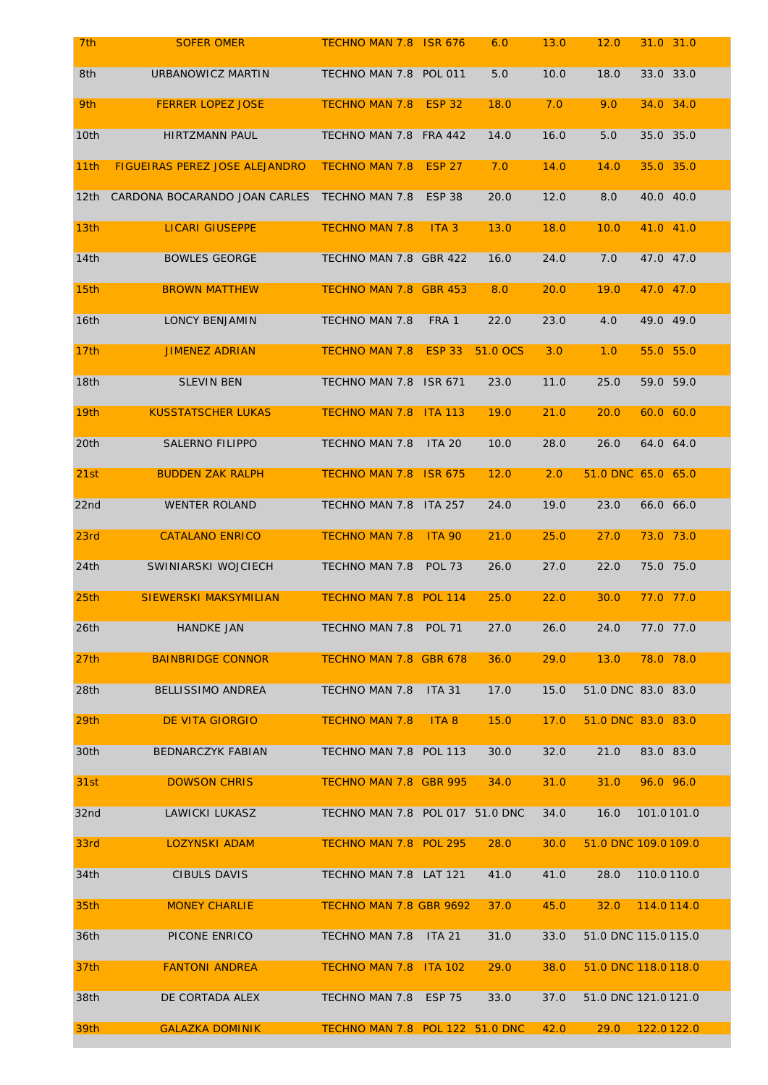| 8th              | URBANOWICZ MARTIN                     | TECHNO MAN 7.8 POL 011          |                  | 5.0      | 10.0 | 33.0 33.0<br>18.0    |
|------------------|---------------------------------------|---------------------------------|------------------|----------|------|----------------------|
| 9th              | <b>FERRER LOPEZ JOSE</b>              | <b>TECHNO MAN 7.8</b>           | <b>ESP 32</b>    | 18.0     | 7.0  | 34.0 34.0<br>9.0     |
| 10th             | <b>HIRTZMANN PAUL</b>                 | TECHNO MAN 7.8                  | <b>FRA 442</b>   | 14.0     | 16.0 | 35.0 35.0<br>5.0     |
| 11th             | <b>FIGUEIRAS PEREZ JOSE ALEJANDRO</b> | <b>TECHNO MAN 7.8</b>           | <b>ESP 27</b>    | 7.0      | 14.0 | 35.0 35.0<br>14.0    |
| 12 <sub>th</sub> | CARDONA BOCARANDO JOAN CARLES         | TECHNO MAN 7.8                  | <b>ESP 38</b>    | 20.0     | 12.0 | 40.0 40.0<br>8.0     |
| 13 <sub>th</sub> | <b>LICARI GIUSEPPE</b>                | <b>TECHNO MAN 7.8</b>           | ITA <sub>3</sub> | 13.0     | 18.0 | 41.0 41.0<br>10.0    |
| 14th             | <b>BOWLES GEORGE</b>                  | TECHNO MAN 7.8 GBR 422          |                  | 16.0     | 24.0 | 47.0 47.0<br>7.0     |
| 15th             | <b>BROWN MATTHEW</b>                  | TECHNO MAN 7.8 GBR 453          |                  | 8.0      | 20.0 | 19.0<br>47.0 47.0    |
| 16th             | <b>LONCY BENJAMIN</b>                 | TECHNO MAN 7.8                  | FRA 1            | 22.0     | 23.0 | 49.0 49.0<br>4.0     |
| 17th             | <b>JIMENEZ ADRIAN</b>                 | <b>TECHNO MAN 7.8</b>           | <b>ESP 33</b>    | 51.0 OCS | 3.0  | 55.0 55.0<br>1.0     |
| 18th             | <b>SLEVIN BEN</b>                     | TECHNO MAN 7.8                  | <b>ISR 671</b>   | 23.0     | 11.0 | 59.0 59.0<br>25.0    |
| 19th             | <b>KUSSTATSCHER LUKAS</b>             | <b>TECHNO MAN 7.8</b>           | <b>ITA 113</b>   | 19.0     | 21.0 | 60.0 60.0<br>20.0    |
| 20th             | <b>SALERNO FILIPPO</b>                | TECHNO MAN 7.8                  | <b>ITA 20</b>    | 10.0     | 28.0 | 26.0<br>64.0 64.0    |
| 21st             | <b>BUDDEN ZAK RALPH</b>               | <b>TECHNO MAN 7.8</b>           | <b>ISR 675</b>   | 12.0     | 2.0  | 51.0 DNC 65.0 65.0   |
| 22nd             | <b>WENTER ROLAND</b>                  | TECHNO MAN 7.8                  | <b>ITA 257</b>   | 24.0     | 19.0 | 23.0<br>66.0 66.0    |
| 23rd             | <b>CATALANO ENRICO</b>                | <b>TECHNO MAN 7.8</b>           | <b>ITA 90</b>    | 21.0     | 25.0 | 73.0 73.0<br>27.0    |
| 24th             | SWINIARSKI WOJCIECH                   | TECHNO MAN 7.8                  | <b>POL 73</b>    | 26.0     | 27.0 | 75.0 75.0<br>22.0    |
| 25 <sub>th</sub> | <b>SIEWERSKI MAKSYMILIAN</b>          | TECHNO MAN 7.8 POL 114          |                  | 25.0     | 22.0 | 77.0 77.0<br>30.0    |
| 26th             | <b>HANDKE JAN</b>                     | TECHNO MAN 7.8 POL 71           |                  | 27.0     | 26.0 | 77.0 77.0<br>24.0    |
| 27 <sub>th</sub> | <b>BAINBRIDGE CONNOR</b>              | TECHNO MAN 7.8 GBR 678          |                  | 36.0     | 29.0 | 78.0 78.0<br>13.0    |
| 28th             | BELLISSIMO ANDREA                     | <b>TECHNO MAN 7.8</b>           | <b>ITA 31</b>    | 17.0     | 15.0 | 51.0 DNC 83.0 83.0   |
| 29 <sub>th</sub> | <b>DE VITA GIORGIO</b>                | <b>TECHNO MAN 7.8</b>           | ITA <sub>8</sub> | 15.0     | 17.0 | 51.0 DNC 83.0 83.0   |
| 30th             | <b>BEDNARCZYK FABIAN</b>              | TECHNO MAN 7.8 POL 113          |                  | 30.0     | 32.0 | 83.0 83.0<br>21.0    |
| 31st             | <b>DOWSON CHRIS</b>                   | TECHNO MAN 7.8 GBR 995          |                  | 34.0     | 31.0 | 96.0 96.0<br>31.0    |
| 32nd             | LAWICKI LUKASZ                        | TECHNO MAN 7.8 POL 017 51.0 DNC |                  |          | 34.0 | 101.0101.0<br>16.0   |
| 33rd             | <b>LOZYNSKI ADAM</b>                  | TECHNO MAN 7.8 POL 295          |                  | 28.0     | 30.0 | 51.0 DNC 109.0 109.0 |
| 34th             | <b>CIBULS DAVIS</b>                   | TECHNO MAN 7.8 LAT 121          |                  | 41.0     | 41.0 | 28.0<br>110.0110.0   |
| 35th             | <b>MONEY CHARLIE</b>                  | <b>TECHNO MAN 7.8 GBR 9692</b>  |                  | 37.0     | 45.0 | 114.0114.0<br>32.0   |
| 36th             | PICONE ENRICO                         | <b>TECHNO MAN 7.8</b>           | <b>ITA 21</b>    | 31.0     | 33.0 | 51.0 DNC 115.0 115.0 |
| 37 <sub>th</sub> | <b>FANTONI ANDREA</b>                 | TECHNO MAN 7.8 ITA 102          |                  | 29.0     | 38.0 | 51.0 DNC 118.0 118.0 |
| 38th             | DE CORTADA ALEX                       | TECHNO MAN 7.8                  | <b>ESP 75</b>    | 33.0     | 37.0 | 51.0 DNC 121.0 121.0 |
| 39th             | <b>GALAZKA DOMINIK</b>                | TECHNO MAN 7.8 POL 122 51.0 DNC |                  |          | 42.0 | 29.0<br>122.0122.0   |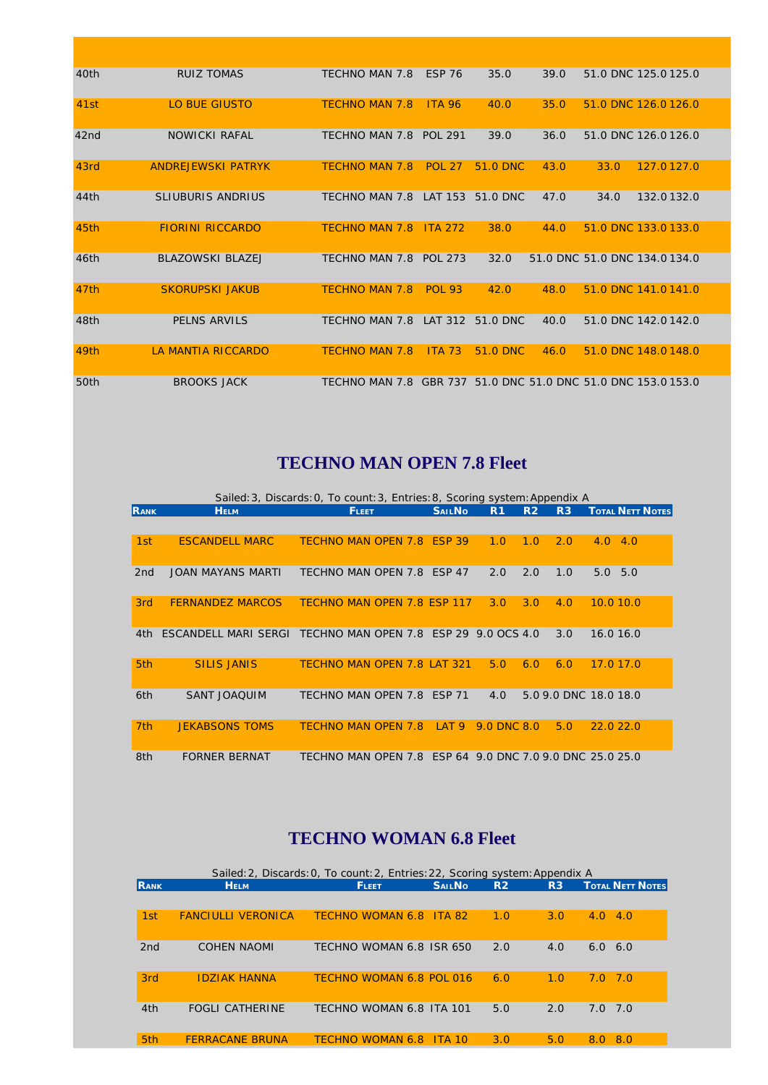| 40th | <b>RUIZ TOMAS</b>         | TECHNO MAN 7.8                                                | <b>ESP 76</b> | 35.0     | 39.0 | 51.0 DNC 125.0 125.0          |            |  |
|------|---------------------------|---------------------------------------------------------------|---------------|----------|------|-------------------------------|------------|--|
| 41st | <b>LO BUE GIUSTO</b>      | <b>TECHNO MAN 7.8</b>                                         | <b>ITA 96</b> | 40.0     | 35.0 | 51.0 DNC 126.0 126.0          |            |  |
| 42nd | <b>NOWICKI RAFAL</b>      | TECHNO MAN 7.8 POL 291                                        |               | 39.0     | 36.0 | 51.0 DNC 126.0126.0           |            |  |
| 43rd | <b>ANDREJEWSKI PATRYK</b> | <b>TECHNO MAN 7.8</b>                                         | <b>POL 27</b> | 51.0 DNC | 43.0 | 33.0                          | 127.0127.0 |  |
| 44th | <b>SLIUBURIS ANDRIUS</b>  | TECHNO MAN 7.8                                                | LAT 153       | 51.0 DNC | 47.0 | 34.0                          | 132.0132.0 |  |
| 45th | <b>FIORINI RICCARDO</b>   | <b>TECHNO MAN 7.8</b>                                         | ITA 272       | 38.0     | 44.0 | 51.0 DNC 133.0 133.0          |            |  |
| 46th | <b>BLAZOWSKI BLAZEJ</b>   | TECHNO MAN 7.8 POL 273                                        |               | 32.0     |      | 51.0 DNC 51.0 DNC 134.0 134.0 |            |  |
| 47th | <b>SKORUPSKI JAKUB</b>    | <b>TECHNO MAN 7.8</b>                                         | <b>POL 93</b> | 42.0     | 48.0 | 51.0 DNC 141.0 141.0          |            |  |
| 48th | PELNS ARVILS              | TECHNO MAN 7.8                                                | LAT 312       | 51.0 DNC | 40.0 | 51.0 DNC 142.0 142.0          |            |  |
| 49th | LA MANTIA RICCARDO        | <b>TECHNO MAN 7.8</b>                                         | <b>ITA 73</b> | 51.0 DNC | 46.0 | 51.0 DNC 148.0 148.0          |            |  |
| 50th | <b>BROOKS JACK</b>        | TECHNO MAN 7.8 GBR 737 51.0 DNC 51.0 DNC 51.0 DNC 153.0 153.0 |               |          |      |                               |            |  |

### **TECHNO MAN OPEN 7.8 Fleet**

|                 |                          | Sailed: 3, Discards: 0, To count: 3, Entries: 8, Scoring system: Appendix A |                  |                |                |                |                                      |  |
|-----------------|--------------------------|-----------------------------------------------------------------------------|------------------|----------------|----------------|----------------|--------------------------------------|--|
| <b>RANK</b>     | <b>HELM</b>              | <b>FLEET</b>                                                                | <b>SAILNO</b>    | R <sub>1</sub> | R <sub>2</sub> | R <sub>3</sub> | <b>TOTAL NETT NOTES</b>              |  |
|                 |                          |                                                                             |                  |                |                |                |                                      |  |
| 1st             | <b>ESCANDELL MARC</b>    | TECHNO MAN OPEN 7.8 ESP 39                                                  |                  | 1.0            | 1.0            | 2.0            | 4.0<br>4.0                           |  |
| 2 <sub>nd</sub> | <b>JOAN MAYANS MARTI</b> | TECHNO MAN OPEN 7.8                                                         | <b>FSP 47</b>    | 2.0            | 2.0            | 1.0            | 5.0<br>5.0                           |  |
| 3rd             | <b>FERNANDEZ MARCOS</b>  | TECHNO MAN OPEN 7.8 ESP 117                                                 |                  | 3.0            | 3.0            | 4.0            | 10.010.0                             |  |
| 4th.            | ESCANDELL MARI SERGI     | TECHNO MAN OPEN 7.8 ESP 29 9.0 OCS 4.0                                      |                  |                |                | 3.0            | 16.0 16.0                            |  |
| 5th             | <b>SILIS JANIS</b>       | <b>TECHNO MAN OPEN 7.8 LAT 321</b>                                          |                  | 5.0            | 6.0            | 6.0            | 17.0 17.0                            |  |
| 6th             | <b>SANT JOAOUIM</b>      | TECHNO MAN OPEN 7.8 ESP 71                                                  |                  | 4.0            |                |                | 5.0 9.0 DNC 18.0 18.0                |  |
| 7 <sub>th</sub> | <b>JEKABSONS TOMS</b>    | <b>TECHNO MAN OPEN 7.8</b>                                                  | LAT <sub>9</sub> | 9.0 DNC 8.0    |                | 5.0            | 22.022.0                             |  |
| 8th             | <b>FORNER BERNAT</b>     | TECHNO MAN OPEN 7.8                                                         |                  |                |                |                | ESP 64 9.0 DNC 7.0 9.0 DNC 25.0 25.0 |  |

#### **TECHNO WOMAN 6.8 Fleet**

|                 |                           | Sailed: 2, Discards: 0, To count: 2, Entries: 22, Scoring system: Appendix A |                                |                |     |                         |
|-----------------|---------------------------|------------------------------------------------------------------------------|--------------------------------|----------------|-----|-------------------------|
| <b>RANK</b>     | <b>HELM</b>               | <b>FLEET</b>                                                                 | <b>SAILNO</b>                  | R <sub>2</sub> | R3  | <b>TOTAL NETT NOTES</b> |
|                 |                           |                                                                              |                                |                |     |                         |
| 1st             | <b>FANCIULLI VERONICA</b> | TECHNO WOMAN 6.8                                                             | $\overline{\phantom{0}}$ TA 82 | 1.0            | 3.0 | 4.0<br>4.0              |
| 2nd             | <b>COHEN NAOMI</b>        | TECHNO WOMAN 6.8 ISR 650                                                     |                                | 2.0            | 4.0 | 6.0<br>6.0              |
| 3rd             | <b>IDZIAK HANNA</b>       | TECHNO WOMAN 6.8 POL 016                                                     |                                | 6.0            | 1.0 | - 7.0<br>7.O            |
| 4th             | <b>FOGLI CATHERINE</b>    | TECHNO WOMAN 6.8 ITA 101                                                     |                                | 5.0            | 2.0 | 7.0<br>7.0              |
| 5 <sub>th</sub> | <b>FERRACANE BRUNA</b>    | <b>TECHNO WOMAN 6.8</b>                                                      | TTA 10                         | 3.0            | 5.0 | 8.0<br>8.0              |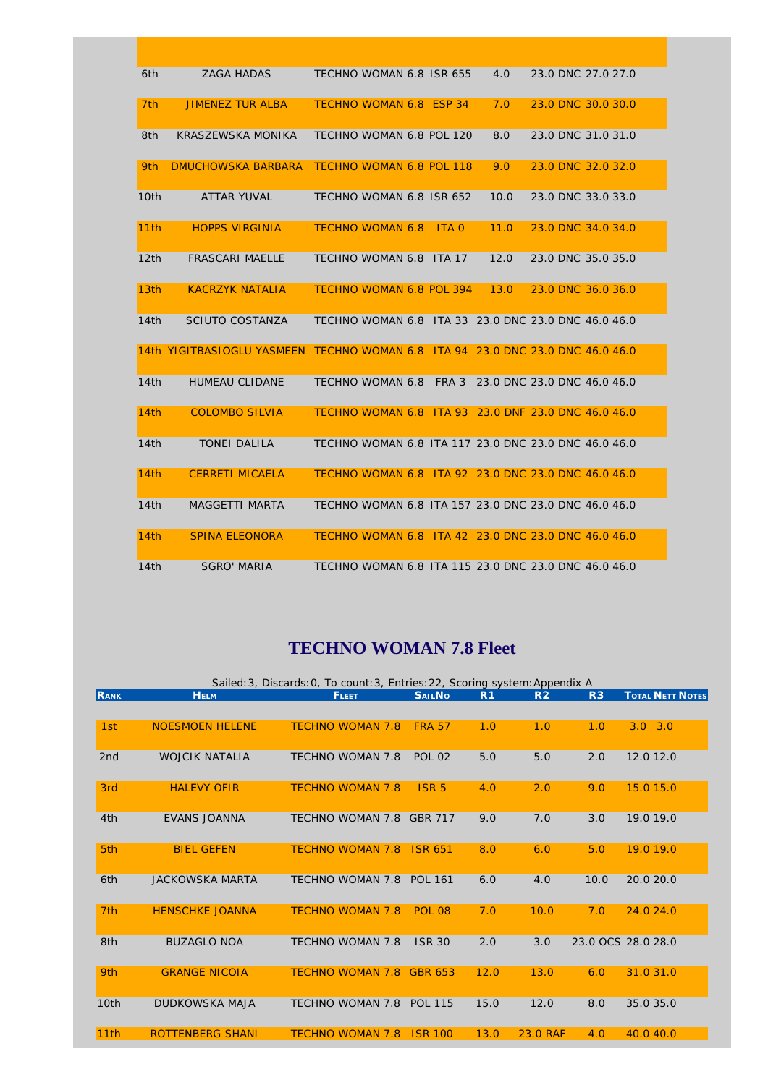| 6th              | <b>ZAGA HADAS</b>                                                              | TECHNO WOMAN 6.8 ISR 655                             |         | 4.0  |                             | 23.0 DNC 27.0 27.0 |
|------------------|--------------------------------------------------------------------------------|------------------------------------------------------|---------|------|-----------------------------|--------------------|
| 7 <sub>th</sub>  | <b>JIMENEZ TUR ALBA</b>                                                        | TECHNO WOMAN 6.8 ESP 34                              |         | 7.0  |                             | 23.0 DNC 30.0 30.0 |
| 8th              | KRASZEWSKA MONIKA                                                              | TECHNO WOMAN 6.8 POL 120                             |         | 8.0  |                             | 23.0 DNC 31.0 31.0 |
| 9th              | <b>DMUCHOWSKA BARBARA</b>                                                      | TECHNO WOMAN 6.8 POL 118                             |         | 9.0  |                             | 23.0 DNC 32.0 32.0 |
| 10th             | ATTAR YUVAL                                                                    | TECHNO WOMAN 6.8 ISR 652                             |         | 10.0 |                             | 23.0 DNC 33.0 33.0 |
| 11th             | <b>HOPPS VIRGINIA</b>                                                          | <b>TECHNO WOMAN 6.8</b>                              | $ITA$ 0 | 11.0 |                             | 23.0 DNC 34.0 34.0 |
| 12th             | <b>FRASCARI MAELLE</b>                                                         | TECHNO WOMAN 6.8 ITA 17                              |         | 12.0 | 23.0 DNC 35.0 35.0          |                    |
| 13 <sub>th</sub> | <b>KACRZYK NATALIA</b>                                                         | TECHNO WOMAN 6.8 POL 394                             |         | 13.0 |                             | 23.0 DNC 36.0 36.0 |
| 14th             | SCIUTO COSTANZA                                                                | TECHNO WOMAN 6.8 ITA 33 23.0 DNC 23.0 DNC 46.0 46.0  |         |      |                             |                    |
|                  | 14th YIGITBASIOGLU YASMEEN TECHNO WOMAN 6.8 ITA 94 23.0 DNC 23.0 DNC 46.0 46.0 |                                                      |         |      |                             |                    |
| 14th             | <b>HUMEAU CLIDANE</b>                                                          | TECHNO WOMAN 6.8 FRA 3                               |         |      | 23.0 DNC 23.0 DNC 46.0 46.0 |                    |
| 14th             | <b>COLOMBO SILVIA</b>                                                          | TECHNO WOMAN 6.8 ITA 93 23.0 DNF 23.0 DNC 46.0 46.0  |         |      |                             |                    |
| 14th             | <b>TONEI DALILA</b>                                                            | TECHNO WOMAN 6.8 ITA 117 23.0 DNC 23.0 DNC 46.0 46.0 |         |      |                             |                    |
| 14th             | <b>CERRETI MICAELA</b>                                                         | TECHNO WOMAN 6.8 ITA 92 23.0 DNC 23.0 DNC 46.0 46.0  |         |      |                             |                    |
| 14th             | <b>MAGGETTI MARTA</b>                                                          | TECHNO WOMAN 6.8 ITA 157 23.0 DNC 23.0 DNC 46.0 46.0 |         |      |                             |                    |
| 14th             | <b>SPINA ELEONORA</b>                                                          | TECHNO WOMAN 6.8 ITA 42 23.0 DNC 23.0 DNC 46.0 46.0  |         |      |                             |                    |
| 14th             | <b>SGRO' MARIA</b>                                                             | TECHNO WOMAN 6.8 ITA 115 23.0 DNC 23.0 DNC 46.0 46.0 |         |      |                             |                    |

### **TECHNO WOMAN 7.8 Fleet**

|                 | Sailed: 3, Discards: 0, To count: 3, Entries: 22, Scoring system: Appendix A |                          |                  |                |                |                |                         |  |  |  |
|-----------------|------------------------------------------------------------------------------|--------------------------|------------------|----------------|----------------|----------------|-------------------------|--|--|--|
| RANK            | <b>HELM</b>                                                                  | <b>FLEET</b>             | <b>SAILNO</b>    | R <sub>1</sub> | R <sub>2</sub> | R <sub>3</sub> | <b>TOTAL NETT NOTES</b> |  |  |  |
|                 |                                                                              |                          |                  |                |                |                |                         |  |  |  |
| 1st             | <b>NOESMOEN HELENE</b>                                                       | <b>TECHNO WOMAN 7.8</b>  | <b>FRA 57</b>    | 1.0            | 1.0            | 1.0            | $3.0$ $3.0$             |  |  |  |
|                 |                                                                              |                          |                  |                |                |                |                         |  |  |  |
| 2 <sub>nd</sub> | <b>WOJCIK NATALIA</b>                                                        | <b>TECHNO WOMAN 7.8</b>  | <b>POL 02</b>    | 5.0            | 5.0            | 2.0            | 12.0 12.0               |  |  |  |
|                 |                                                                              |                          |                  |                |                |                |                         |  |  |  |
| 3rd             | <b>HALEVY OFIR</b>                                                           | <b>TECHNO WOMAN 7.8</b>  | ISR <sub>5</sub> | 4.0            | 2.0            | 9.0            | 15.0 15.0               |  |  |  |
|                 |                                                                              |                          |                  |                |                |                |                         |  |  |  |
| 4th             | <b>EVANS JOANNA</b>                                                          | TECHNO WOMAN 7.8         | <b>GBR 717</b>   | 9.0            | 7.0            | 3.0            | 19.0 19.0               |  |  |  |
|                 |                                                                              |                          |                  |                |                |                |                         |  |  |  |
| 5th             | <b>BIEL GEFEN</b>                                                            | <b>TECHNO WOMAN 7.8</b>  | <b>ISR 651</b>   | 8.0            | 6.0            | 5.0            | 19.0 19.0               |  |  |  |
|                 |                                                                              |                          |                  |                |                |                |                         |  |  |  |
| 6th             | <b>JACKOWSKA MARTA</b>                                                       | TECHNO WOMAN 7.8 POL 161 |                  | 6.0            | 4.0            | 10.0           | 20.0 20.0               |  |  |  |
|                 |                                                                              |                          |                  |                |                |                |                         |  |  |  |
| 7 <sub>th</sub> | <b>HENSCHKE JOANNA</b>                                                       | <b>TECHNO WOMAN 7.8</b>  | <b>POL 08</b>    | 7.0            | 10.0           | 7.0            | 24.0 24.0               |  |  |  |
|                 |                                                                              |                          |                  |                |                |                |                         |  |  |  |
| 8th             | <b>BUZAGLO NOA</b>                                                           | <b>TECHNO WOMAN 7.8</b>  | <b>ISR 30</b>    | 2.0            | 3.0            |                | 23.0 OCS 28.0 28.0      |  |  |  |
|                 |                                                                              |                          |                  |                |                |                |                         |  |  |  |
| 9th             | <b>GRANGE NICOIA</b>                                                         | <b>TECHNO WOMAN 7.8</b>  | GBR 653          | 12.0           | 13.0           | 6.0            | 31.0 31.0               |  |  |  |
|                 |                                                                              |                          |                  |                |                |                |                         |  |  |  |
| 10th            | <b>DUDKOWSKA MAJA</b>                                                        | <b>TECHNO WOMAN 7.8</b>  | <b>POL 115</b>   | 15.0           | 12.0           | 8.0            | 35.0 35.0               |  |  |  |
|                 |                                                                              |                          |                  |                |                |                |                         |  |  |  |
| 11th            | <b>ROTTENBERG SHANI</b>                                                      | <b>TECHNO WOMAN 7.8</b>  | <b>ISR 100</b>   | 13.0           | 23.0 RAF       | 4.0            | 40.0 40.0               |  |  |  |